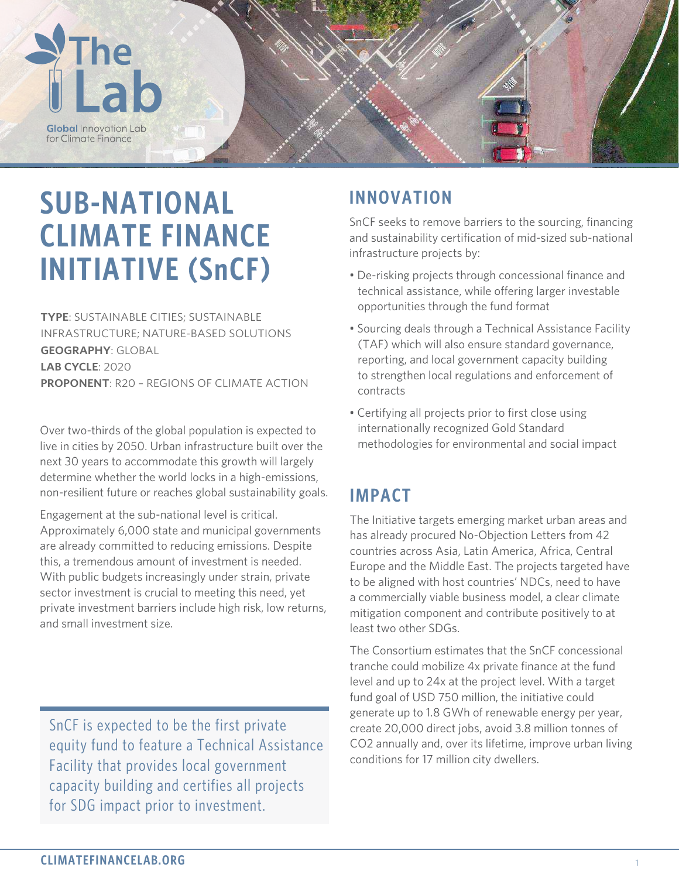

# **SUB-NATIONAL CLIMATE FINANCE INITIATIVE (SnCF)**

**TYPE**: SUSTAINABLE CITIES; SUSTAINABLE INFRASTRUCTURE; NATURE-BASED SOLUTIONS **GEOGRAPHY**: GLOBAL **LAB CYCLE**: 2020 **PROPONENT**: R20 – REGIONS OF CLIMATE ACTION

Over two-thirds of the global population is expected to live in cities by 2050. Urban infrastructure built over the next 30 years to accommodate this growth will largely determine whether the world locks in a high-emissions, non-resilient future or reaches global sustainability goals.

Engagement at the sub-national level is critical. Approximately 6,000 state and municipal governments are already committed to reducing emissions. Despite this, a tremendous amount of investment is needed. With public budgets increasingly under strain, private sector investment is crucial to meeting this need, yet private investment barriers include high risk, low returns, and small investment size.

SnCF is expected to be the first private equity fund to feature a Technical Assistance Facility that provides local government capacity building and certifies all projects for SDG impact prior to investment.

## **INNOVATION**

SnCF seeks to remove barriers to the sourcing, financing and sustainability certification of mid-sized sub-national infrastructure projects by:

- De-risking projects through concessional finance and technical assistance, while offering larger investable opportunities through the fund format
- Sourcing deals through a Technical Assistance Facility (TAF) which will also ensure standard governance, reporting, and local government capacity building to strengthen local regulations and enforcement of contracts
- Certifying all projects prior to first close using internationally recognized Gold Standard methodologies for environmental and social impact

### **IMPACT**

The Initiative targets emerging market urban areas and has already procured No-Objection Letters from 42 countries across Asia, Latin America, Africa, Central Europe and the Middle East. The projects targeted have to be aligned with host countries' NDCs, need to have a commercially viable business model, a clear climate mitigation component and contribute positively to at least two other SDGs.

The Consortium estimates that the SnCF concessional tranche could mobilize 4x private finance at the fund level and up to 24x at the project level. With a target fund goal of USD 750 million, the initiative could generate up to 1.8 GWh of renewable energy per year, create 20,000 direct jobs, avoid 3.8 million tonnes of CO2 annually and, over its lifetime, improve urban living conditions for 17 million city dwellers.